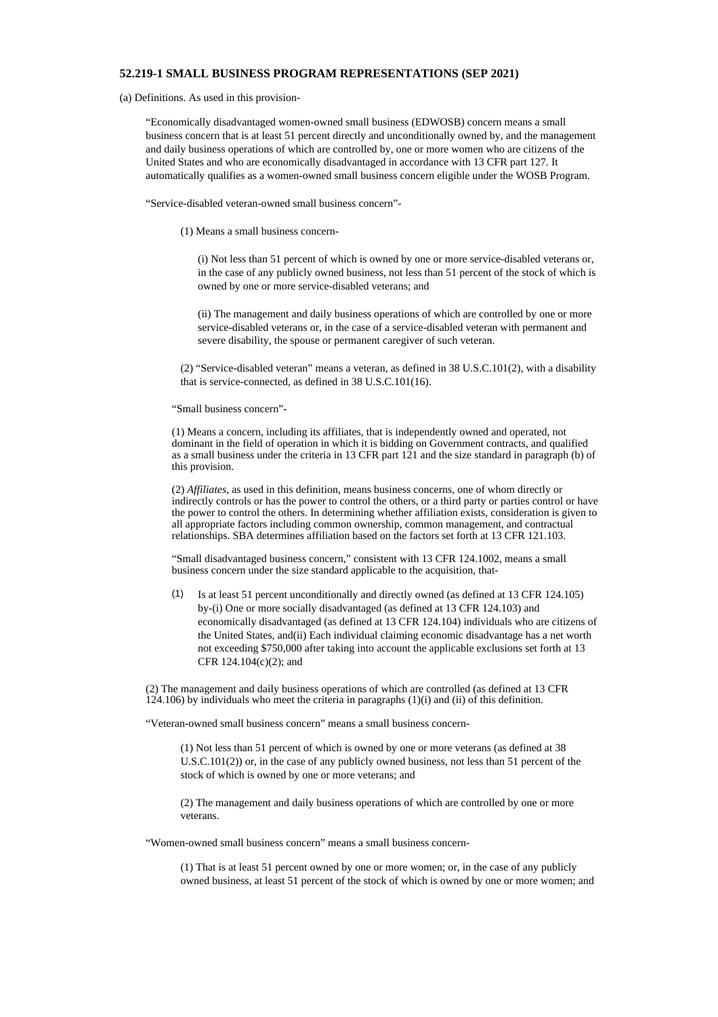## **52.219-1 SMALL BUSINESS PROGRAM REPRESENTATIONS (SEP 2021)**

(a) Definitions. As used in this provision-

"Economically disadvantaged women-owned small business (EDWOSB) concern means a small business concern that is at least 51 percent directly and unconditionally owned by, and the management and daily business operations of which are controlled by, one or more women who are citizens of the United States and who are economically disadvantaged in accordance with 13 CFR part 127. It automatically qualifies as a women-owned small business concern eligible under the WOSB Program.

"Service-disabled veteran-owned small business concern"-

(1) Means a small business concern-

(i) Not less than 51 percent of which is owned by one or more service-disabled veterans or, in the case of any publicly owned business, not less than 51 percent of the stock of which is owned by one or more service-disabled veterans; and

(ii) The management and daily business operations of which are controlled by one or more service-disabled veterans or, in the case of a service-disabled veteran with permanent and severe disability, the spouse or permanent caregiver of such veteran.

(2) "Service-disabled veteran" means a veteran, as defined in 38 U.S.C.101(2), with a disability that is service-connected, as defined in 38 U.S.C.101(16).

"Small business concern"-

(1) Means a concern, including its affiliates, that is independently owned and operated, not dominant in the field of operation in which it is bidding on Government contracts, and qualified as a small business under the criteria in 13 CFR part  $121$  and the size standard in paragraph (b) of this provision.

(2) *Affiliates,* as used in this definition, means business concerns, one of whom directly or indirectly controls or has the power to control the others, or a third party or parties control or have the power to control the others. In determining whether affiliation exists, consideration is given to all appropriate factors including common ownership, common management, and contractual relationships. SBA determines affiliation based on the factors set forth at 13 CFR 121.103.

"Small disadvantaged business concern," consistent with 13 CFR 124.1002, means a small business concern under the size standard applicable to the acquisition, that-

(1) Is at least 51 percent unconditionally and directly owned (as defined at 13 CFR 124.105) by-(i) One or more socially disadvantaged (as defined at 13 CFR 124.103) and economically disadvantaged (as defined at 13 CFR 124.104) individuals who are citizens of the United States, and(ii) Each individual claiming economic disadvantage has a net worth not exceeding \$750,000 after taking into account the applicable exclusions set forth at 13 CFR 124.104(c)(2); and

(2) The management and daily business operations of which are controlled (as defined at 13 CFR 124.106) by individuals who meet the criteria in paragraphs (1)(i) and (ii) of this definition.

"Veteran-owned small business concern" means a small business concern-

(1) Not less than 51 percent of which is owned by one or more veterans (as defined at 38 U.S.C.101(2)) or, in the case of any publicly owned business, not less than 51 percent of the stock of which is owned by one or more veterans; and

(2) The management and daily business operations of which are controlled by one or more veterans.

"Women-owned small business concern" means a small business concern-

(1) That is at least 51 percent owned by one or more women; or, in the case of any publicly owned business, at least 51 percent of the stock of which is owned by one or more women; and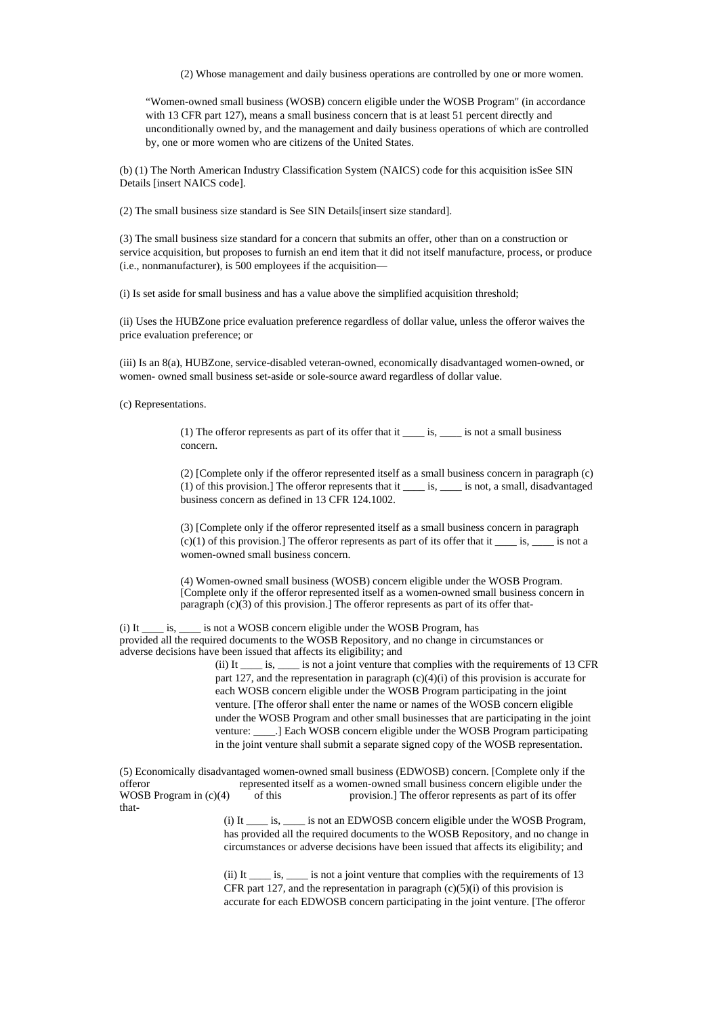(2) Whose management and daily business operations are controlled by one or more women.

"Women-owned small business (WOSB) concern eligible under the WOSB Program" (in accordance with 13 CFR part 127), means a small business concern that is at least 51 percent directly and unconditionally owned by, and the management and daily business operations of which are controlled by, one or more women who are citizens of the United States.

(b) (1) The North American Industry Classification System (NAICS) code for this acquisition isSee SIN Details [insert NAICS code].

(2) The small business size standard is See SIN Details[insert size standard].

(3) The small business size standard for a concern that submits an offer, other than on a construction or service acquisition, but proposes to furnish an end item that it did not itself manufacture, process, or produce (i.e., nonmanufacturer), is 500 employees if the acquisition—

(i) Is set aside for small business and has a value above the simplified acquisition threshold;

(ii) Uses the HUBZone price evaluation preference regardless of dollar value, unless the offeror waives the price evaluation preference; or

(iii) Is an 8(a), HUBZone, service-disabled veteran-owned, economically disadvantaged women-owned, or women- owned small business set-aside or sole-source award regardless of dollar value.

(c) Representations.

(1) The offeror represents as part of its offer that it *\_\_\_\_* is, *\_\_\_\_* is not a small business concern.

(2) [Complete only if the offeror represented itself as a small business concern in paragraph (c) (1) of this provision.] The offeror represents that it *\_\_\_\_* is, *\_\_\_\_* is not, a small, disadvantaged business concern as defined in 13 CFR 124.1002.

(3) [Complete only if the offeror represented itself as a small business concern in paragraph (c)(1) of this provision.] The offeror represents as part of its offer that it *\_\_\_\_* is, *\_\_\_\_* is not a women-owned small business concern.

(4) Women-owned small business (WOSB) concern eligible under the WOSB Program. [Complete only if the offeror represented itself as a women-owned small business concern in paragraph  $(c)(3)$  of this provision.] The offeror represents as part of its offer that-

(i) It *\_\_\_\_* is, *\_\_\_\_* is not a WOSB concern eligible under the WOSB Program, has provided all the required documents to the WOSB Repository, and no change in circumstances or adverse decisions have been issued that affects its eligibility; and

(ii) It *\_\_\_\_* is, *\_\_\_\_* is not a joint venture that complies with the requirements of 13 CFR part 127, and the representation in paragraph (c)(4)(i) of this provision is accurate for each WOSB concern eligible under the WOSB Program participating in the joint venture. [The offeror shall enter the name or names of the WOSB concern eligible under the WOSB Program and other small businesses that are participating in the joint venture: *\_\_\_\_*.] Each WOSB concern eligible under the WOSB Program participating in the joint venture shall submit a separate signed copy of the WOSB representation.

(5) Economically disadvantaged women-owned small business (EDWOSB) concern. [Complete only if the offeror represented itself as a women-owned small business concern eligible under the WOSB Program in  $(c)(4)$  of this provision.] The offeror represents as part of its offer that-

> (i) It *\_\_\_\_* is, *\_\_\_\_* is not an EDWOSB concern eligible under the WOSB Program, has provided all the required documents to the WOSB Repository, and no change in circumstances or adverse decisions have been issued that affects its eligibility; and

> (ii) It *\_\_\_\_* is, *\_\_\_\_* is not a joint venture that complies with the requirements of 13 CFR part 127, and the representation in paragraph  $(c)(5)(i)$  of this provision is accurate for each EDWOSB concern participating in the joint venture. [The offeror